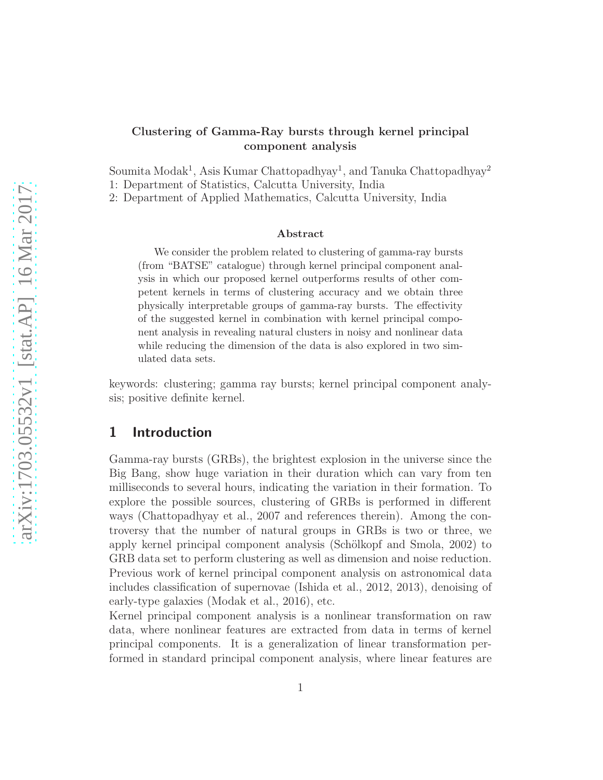### Clustering of Gamma-Ray bursts through kernel principal component analysis

Soumita Modak<sup>1</sup>, Asis Kumar Chattopadhyay<sup>1</sup>, and Tanuka Chattopadhyay<sup>2</sup> 1: Department of Statistics, Calcutta University, India

2: Department of Applied Mathematics, Calcutta University, India

#### Abstract

We consider the problem related to clustering of gamma-ray bursts (from "BATSE" catalogue) through kernel principal component analysis in which our proposed kernel outperforms results of other competent kernels in terms of clustering accuracy and we obtain three physically interpretable groups of gamma-ray bursts. The effectivity of the suggested kernel in combination with kernel principal component analysis in revealing natural clusters in noisy and nonlinear data while reducing the dimension of the data is also explored in two simulated data sets.

keywords: clustering; gamma ray bursts; kernel principal component analysis; positive definite kernel.

# 1 Introduction

Gamma-ray bursts (GRBs), the brightest explosion in the universe since the Big Bang, show huge variation in their duration which can vary from ten milliseconds to several hours, indicating the variation in their formation. To explore the possible sources, clustering of GRBs is performed in different ways (Chattopadhyay et al., 2007 and references therein). Among the controversy that the number of natural groups in GRBs is two or three, we apply kernel principal component analysis (Schölkopf and Smola, 2002) to GRB data set to perform clustering as well as dimension and noise reduction. Previous work of kernel principal component analysis on astronomical data includes classification of supernovae (Ishida et al., 2012, 2013), denoising of early-type galaxies (Modak et al., 2016), etc.

Kernel principal component analysis is a nonlinear transformation on raw data, where nonlinear features are extracted from data in terms of kernel principal components. It is a generalization of linear transformation performed in standard principal component analysis, where linear features are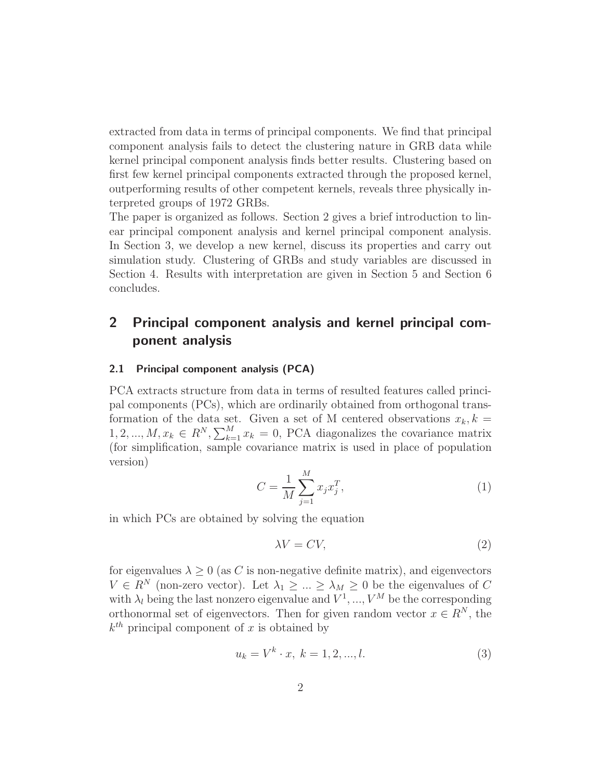extracted from data in terms of principal components. We find that principal component analysis fails to detect the clustering nature in GRB data while kernel principal component analysis finds better results. Clustering based on first few kernel principal components extracted through the proposed kernel, outperforming results of other competent kernels, reveals three physically interpreted groups of 1972 GRBs.

The paper is organized as follows. Section 2 gives a brief introduction to linear principal component analysis and kernel principal component analysis. In Section 3, we develop a new kernel, discuss its properties and carry out simulation study. Clustering of GRBs and study variables are discussed in Section 4. Results with interpretation are given in Section 5 and Section 6 concludes.

# 2 Principal component analysis and kernel principal component analysis

#### 2.1 Principal component analysis (PCA)

PCA extracts structure from data in terms of resulted features called principal components (PCs), which are ordinarily obtained from orthogonal transformation of the data set. Given a set of M centered observations  $x_k, k =$  $1, 2, ..., M, x_k \in R^N, \sum_{k=1}^M x_k = 0$ , PCA diagonalizes the covariance matrix (for simplification, sample covariance matrix is used in place of population version)

$$
C = \frac{1}{M} \sum_{j=1}^{M} x_j x_j^T,
$$
\n(1)

in which PCs are obtained by solving the equation

$$
\lambda V = CV,\tag{2}
$$

for eigenvalues  $\lambda \geq 0$  (as C is non-negative definite matrix), and eigenvectors  $V \in R^N$  (non-zero vector). Let  $\lambda_1 \geq \ldots \geq \lambda_M \geq 0$  be the eigenvalues of C with  $\lambda_l$  being the last nonzero eigenvalue and  $V^1, ..., V^M$  be the corresponding orthonormal set of eigenvectors. Then for given random vector  $x \in R^N$ , the  $k^{th}$  principal component of x is obtained by

$$
u_k = V^k \cdot x, \ k = 1, 2, ..., l. \tag{3}
$$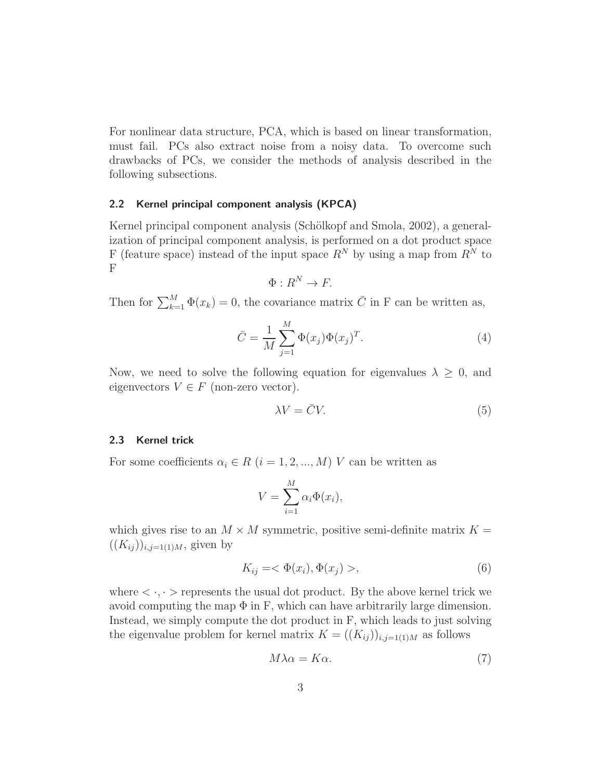For nonlinear data structure, PCA, which is based on linear transformation, must fail. PCs also extract noise from a noisy data. To overcome such drawbacks of PCs, we consider the methods of analysis described in the following subsections.

#### 2.2 Kernel principal component analysis (KPCA)

Kernel principal component analysis (Schölkopf and Smola, 2002), a generalization of principal component analysis, is performed on a dot product space F (feature space) instead of the input space  $R^N$  by using a map from  $R^N$  to F

$$
\Phi: R^N \to F.
$$

Then for  $\sum_{k=1}^{M} \Phi(x_k) = 0$ , the covariance matrix  $\overline{C}$  in F can be written as,

$$
\bar{C} = \frac{1}{M} \sum_{j=1}^{M} \Phi(x_j) \Phi(x_j)^T.
$$
 (4)

Now, we need to solve the following equation for eigenvalues  $\lambda \geq 0$ , and eigenvectors  $V \in F$  (non-zero vector).

$$
\lambda V = \bar{C}V.\tag{5}
$$

#### 2.3 Kernel trick

For some coefficients  $\alpha_i \in R$   $(i = 1, 2, ..., M)$  V can be written as

$$
V = \sum_{i=1}^{M} \alpha_i \Phi(x_i),
$$

which gives rise to an  $M \times M$  symmetric, positive semi-definite matrix  $K =$  $((K_{ij}))_{i,j=1(1)M}$ , given by

<span id="page-2-0"></span>
$$
K_{ij} = \langle \Phi(x_i), \Phi(x_j) \rangle, \tag{6}
$$

where  $\langle \cdot, \cdot \rangle$  represents the usual dot product. By the above kernel trick we avoid computing the map  $\Phi$  in F, which can have arbitrarily large dimension. Instead, we simply compute the dot product in F, which leads to just solving the eigenvalue problem for kernel matrix  $K = ((K_{ij}))_{i,j=1(1)M}$  as follows

$$
M\lambda \alpha = K\alpha. \tag{7}
$$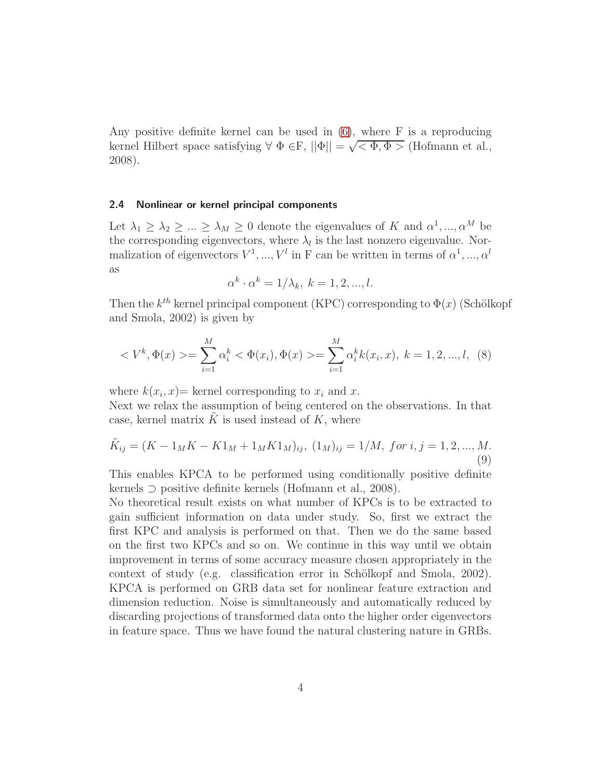Any positive definite kernel can be used in [\(6\)](#page-2-0), where F is a reproducing kernel Hilbert space satisfying  $\forall \Phi \in \mathbb{F}$ ,  $||\Phi|| = \sqrt{\langle \Phi, \Phi \rangle}$  (Hofmann et al., 2008).

#### 2.4 Nonlinear or kernel principal components

Let  $\lambda_1 \geq \lambda_2 \geq ... \geq \lambda_M \geq 0$  denote the eigenvalues of K and  $\alpha^1, ..., \alpha^M$  be the corresponding eigenvectors, where  $\lambda_l$  is the last nonzero eigenvalue. Normalization of eigenvectors  $V^1, ..., V^l$  in F can be written in terms of  $\alpha^1, ..., \alpha^l$ as

$$
\alpha^k \cdot \alpha^k = 1/\lambda_k, \ k = 1, 2, ..., l.
$$

Then the  $k^{th}$  kernel principal component (KPC) corresponding to  $\Phi(x)$  (Schölkopf and Smola, 2002) is given by

$$
\langle V^k, \Phi(x) \rangle = \sum_{i=1}^M \alpha_i^k < \Phi(x_i), \Phi(x) \rangle = \sum_{i=1}^M \alpha_i^k k(x_i, x), \ k = 1, 2, \dots, l, \tag{8}
$$

where  $k(x_i, x)$  = kernel corresponding to  $x_i$  and  $x$ .

Next we relax the assumption of being centered on the observations. In that case, kernel matrix  $\tilde{K}$  is used instead of  $K$ , where

$$
\tilde{K}_{ij} = (K - 1_M K - K 1_M + 1_M K 1_M)_{ij}, (1_M)_{ij} = 1/M, \text{ for } i, j = 1, 2, ..., M. \tag{9}
$$

This enables KPCA to be performed using conditionally positive definite kernels ⊃ positive definite kernels (Hofmann et al., 2008).

No theoretical result exists on what number of KPCs is to be extracted to gain sufficient information on data under study. So, first we extract the first KPC and analysis is performed on that. Then we do the same based on the first two KPCs and so on. We continue in this way until we obtain improvement in terms of some accuracy measure chosen appropriately in the context of study (e.g. classification error in Schölkopf and Smola,  $2002$ ). KPCA is performed on GRB data set for nonlinear feature extraction and dimension reduction. Noise is simultaneously and automatically reduced by discarding projections of transformed data onto the higher order eigenvectors in feature space. Thus we have found the natural clustering nature in GRBs.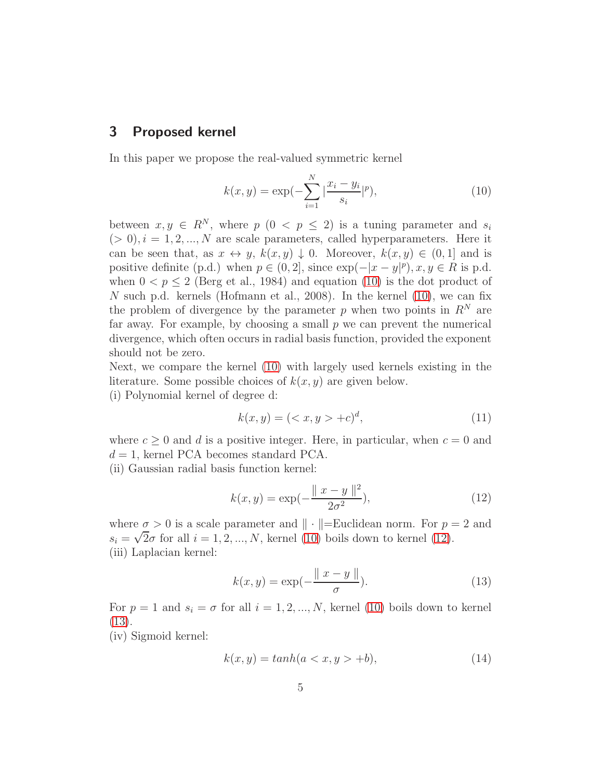# 3 Proposed kernel

In this paper we propose the real-valued symmetric kernel

<span id="page-4-5"></span><span id="page-4-0"></span>
$$
k(x, y) = \exp(-\sum_{i=1}^{N} |\frac{x_i - y_i}{s_i}|^p),
$$
\n(10)

between  $x, y \in R^N$ , where  $p (0 \lt p \leq 2)$  is a tuning parameter and  $s_i$  $(> 0), i = 1, 2, ..., N$  are scale parameters, called hyperparameters. Here it can be seen that, as  $x \leftrightarrow y$ ,  $k(x, y) \downarrow 0$ . Moreover,  $k(x, y) \in (0, 1]$  and is positive definite (p.d.) when  $p \in (0, 2]$ , since  $\exp(-|x - y|^p)$ ,  $x, y \in R$  is p.d. when  $0 < p \le 2$  (Berg et al., 1984) and equation [\(10\)](#page-4-0) is the dot product of  $N$  such p.d. kernels (Hofmann et al., 2008). In the kernel [\(10\)](#page-4-0), we can fix the problem of divergence by the parameter p when two points in  $R^N$  are far away. For example, by choosing a small  $p$  we can prevent the numerical divergence, which often occurs in radial basis function, provided the exponent should not be zero.

Next, we compare the kernel [\(10\)](#page-4-0) with largely used kernels existing in the literature. Some possible choices of  $k(x, y)$  are given below.

(i) Polynomial kernel of degree d:

<span id="page-4-3"></span>
$$
k(x, y) = \left( \langle x, y \rangle + c \right)^d, \tag{11}
$$

where  $c \geq 0$  and d is a positive integer. Here, in particular, when  $c = 0$  and  $d = 1$ , kernel PCA becomes standard PCA.

(ii) Gaussian radial basis function kernel:

<span id="page-4-1"></span>
$$
k(x, y) = \exp(-\frac{\|x - y\|^2}{2\sigma^2}),
$$
\n(12)

where  $\sigma > 0$  is a scale parameter and  $\|\cdot\|$ =Euclidean norm. For  $p = 2$  and  $s_i = \sqrt{2}\sigma$  for all  $i = 1, 2, ..., N$ , kernel [\(10\)](#page-4-0) boils down to kernel [\(12\)](#page-4-1). (iii) Laplacian kernel:

<span id="page-4-2"></span>
$$
k(x, y) = \exp\left(-\frac{\parallel x - y \parallel}{\sigma}\right).
$$
 (13)

For  $p = 1$  and  $s_i = \sigma$  for all  $i = 1, 2, ..., N$ , kernel [\(10\)](#page-4-0) boils down to kernel [\(13\)](#page-4-2).

(iv) Sigmoid kernel:

<span id="page-4-4"></span>
$$
k(x, y) = \tanh(a < x, y > +b),\tag{14}
$$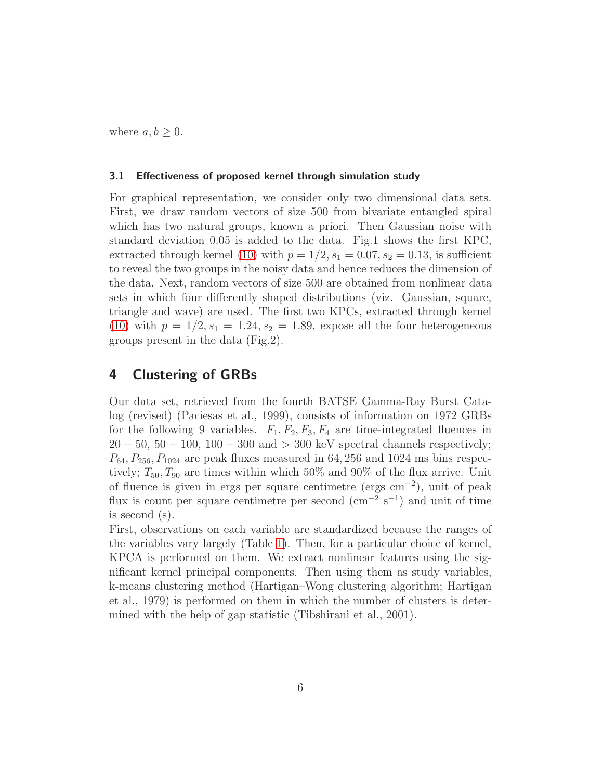where  $a, b \geq 0$ .

#### 3.1 Effectiveness of proposed kernel through simulation study

For graphical representation, we consider only two dimensional data sets. First, we draw random vectors of size 500 from bivariate entangled spiral which has two natural groups, known a priori. Then Gaussian noise with standard deviation 0.05 is added to the data. Fig.1 shows the first KPC, extracted through kernel [\(10\)](#page-4-0) with  $p = 1/2$ ,  $s_1 = 0.07$ ,  $s_2 = 0.13$ , is sufficient to reveal the two groups in the noisy data and hence reduces the dimension of the data. Next, random vectors of size 500 are obtained from nonlinear data sets in which four differently shaped distributions (viz. Gaussian, square, triangle and wave) are used. The first two KPCs, extracted through kernel [\(10\)](#page-4-0) with  $p = 1/2, s_1 = 1.24, s_2 = 1.89$ , expose all the four heterogeneous groups present in the data (Fig.2).

### 4 Clustering of GRBs

Our data set, retrieved from the fourth BATSE Gamma-Ray Burst Catalog (revised) (Paciesas et al., 1999), consists of information on 1972 GRBs for the following 9 variables.  $F_1, F_2, F_3, F_4$  are time-integrated fluences in  $20 - 50$ ,  $50 - 100$ ,  $100 - 300$  and  $> 300$  keV spectral channels respectively;  $P_{64}$ ,  $P_{256}$ ,  $P_{1024}$  are peak fluxes measured in 64, 256 and 1024 ms bins respectively;  $T_{50}$ ,  $T_{90}$  are times within which 50% and 90% of the flux arrive. Unit of fluence is given in ergs per square centimetre (ergs cm<sup>−</sup><sup>2</sup> ), unit of peak flux is count per square centimetre per second  $(\text{cm}^{-2} \text{ s}^{-1})$  and unit of time is second (s).

First, observations on each variable are standardized because the ranges of the variables vary largely (Table [1\)](#page-11-0). Then, for a particular choice of kernel, KPCA is performed on them. We extract nonlinear features using the significant kernel principal components. Then using them as study variables, k-means clustering method (Hartigan–Wong clustering algorithm; Hartigan et al., 1979) is performed on them in which the number of clusters is determined with the help of gap statistic (Tibshirani et al., 2001).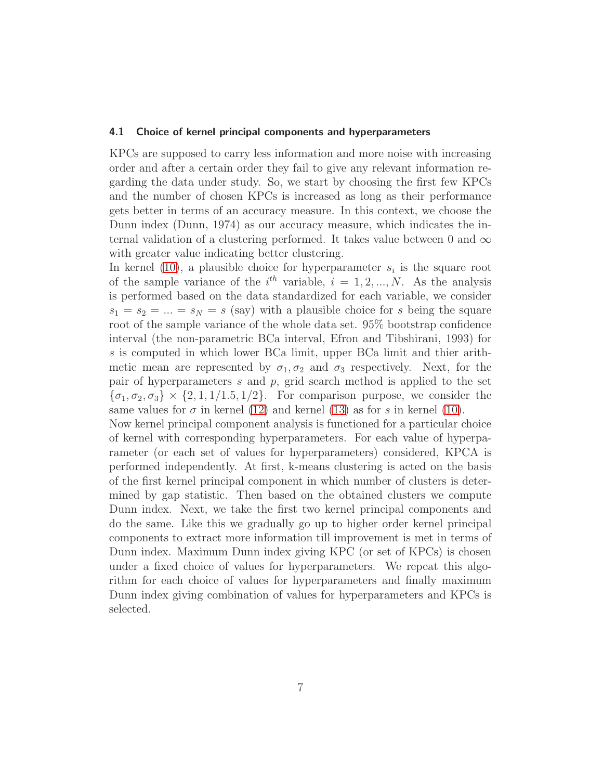#### 4.1 Choice of kernel principal components and hyperparameters

KPCs are supposed to carry less information and more noise with increasing order and after a certain order they fail to give any relevant information regarding the data under study. So, we start by choosing the first few KPCs and the number of chosen KPCs is increased as long as their performance gets better in terms of an accuracy measure. In this context, we choose the Dunn index (Dunn, 1974) as our accuracy measure, which indicates the internal validation of a clustering performed. It takes value between 0 and  $\infty$ with greater value indicating better clustering.

In kernel  $(10)$ , a plausible choice for hyperparameter  $s_i$  is the square root of the sample variance of the  $i^{th}$  variable,  $i = 1, 2, ..., N$ . As the analysis is performed based on the data standardized for each variable, we consider  $s_1 = s_2 = ... = s_N = s$  (say) with a plausible choice for s being the square root of the sample variance of the whole data set. 95% bootstrap confidence interval (the non-parametric BCa interval, Efron and Tibshirani, 1993) for s is computed in which lower BCa limit, upper BCa limit and thier arithmetic mean are represented by  $\sigma_1, \sigma_2$  and  $\sigma_3$  respectively. Next, for the pair of hyperparameters  $s$  and  $p$ , grid search method is applied to the set  ${\sigma_1, \sigma_2, \sigma_3} \times {2, 1, 1/1.5, 1/2}$ . For comparison purpose, we consider the same values for  $\sigma$  in kernel [\(12\)](#page-4-1) and kernel [\(13\)](#page-4-2) as for s in kernel [\(10\)](#page-4-0).

Now kernel principal component analysis is functioned for a particular choice of kernel with corresponding hyperparameters. For each value of hyperparameter (or each set of values for hyperparameters) considered, KPCA is performed independently. At first, k-means clustering is acted on the basis of the first kernel principal component in which number of clusters is determined by gap statistic. Then based on the obtained clusters we compute Dunn index. Next, we take the first two kernel principal components and do the same. Like this we gradually go up to higher order kernel principal components to extract more information till improvement is met in terms of Dunn index. Maximum Dunn index giving KPC (or set of KPCs) is chosen under a fixed choice of values for hyperparameters. We repeat this algorithm for each choice of values for hyperparameters and finally maximum Dunn index giving combination of values for hyperparameters and KPCs is selected.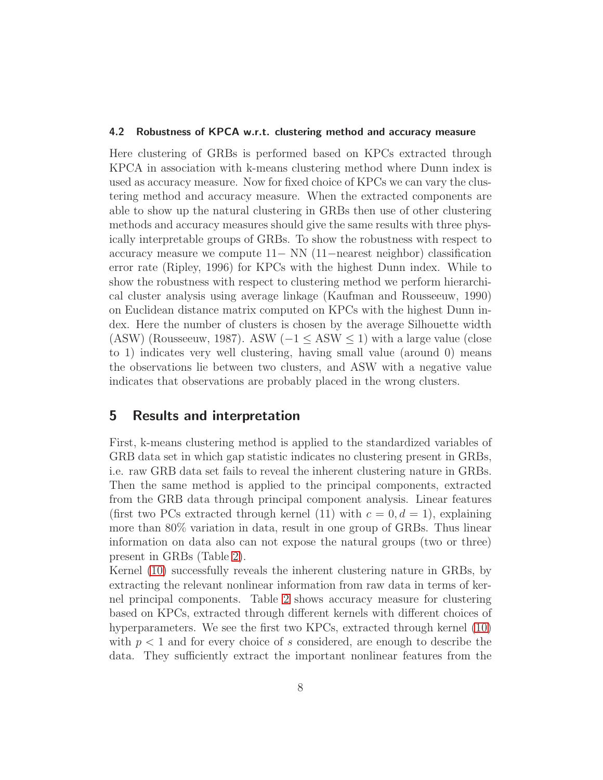#### 4.2 Robustness of KPCA w.r.t. clustering method and accuracy measure

Here clustering of GRBs is performed based on KPCs extracted through KPCA in association with k-means clustering method where Dunn index is used as accuracy measure. Now for fixed choice of KPCs we can vary the clustering method and accuracy measure. When the extracted components are able to show up the natural clustering in GRBs then use of other clustering methods and accuracy measures should give the same results with three physically interpretable groups of GRBs. To show the robustness with respect to accuracy measure we compute 11− NN (11−nearest neighbor) classification error rate (Ripley, 1996) for KPCs with the highest Dunn index. While to show the robustness with respect to clustering method we perform hierarchical cluster analysis using average linkage (Kaufman and Rousseeuw, 1990) on Euclidean distance matrix computed on KPCs with the highest Dunn index. Here the number of clusters is chosen by the average Silhouette width (ASW) (Rousseeuw, 1987). ASW ( $-1 \leq$  ASW  $\leq$  1) with a large value (close to 1) indicates very well clustering, having small value (around 0) means the observations lie between two clusters, and ASW with a negative value indicates that observations are probably placed in the wrong clusters.

### 5 Results and interpretation

First, k-means clustering method is applied to the standardized variables of GRB data set in which gap statistic indicates no clustering present in GRBs, i.e. raw GRB data set fails to reveal the inherent clustering nature in GRBs. Then the same method is applied to the principal components, extracted from the GRB data through principal component analysis. Linear features (first two PCs extracted through kernel (11) with  $c = 0, d = 1$ ), explaining more than 80% variation in data, result in one group of GRBs. Thus linear information on data also can not expose the natural groups (two or three) present in GRBs (Table [2\)](#page-12-0).

Kernel [\(10\)](#page-4-0) successfully reveals the inherent clustering nature in GRBs, by extracting the relevant nonlinear information from raw data in terms of kernel principal components. Table [2](#page-12-0) shows accuracy measure for clustering based on KPCs, extracted through different kernels with different choices of hyperparameters. We see the first two KPCs, extracted through kernel [\(10\)](#page-4-0) with  $p < 1$  and for every choice of s considered, are enough to describe the data. They sufficiently extract the important nonlinear features from the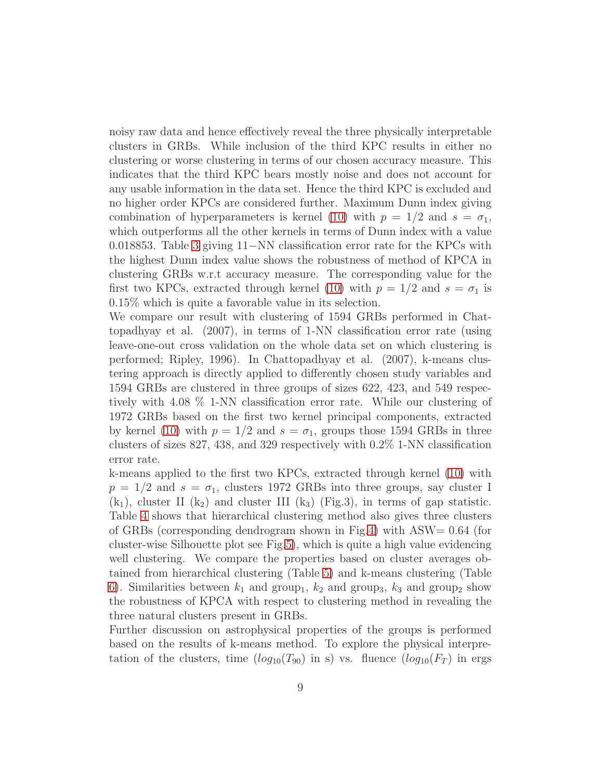noisy raw data and hence effectively reveal the three physically interpretable clusters in GRBs. While inclusion of the third KPC results in either no clustering or worse clustering in terms of our chosen accuracy measure. This indicates that the third KPC bears mostly noise and does not account for any usable information in the data set. Hence the third KPC is excluded and no higher order KPCs are considered further. Maximum Dunn index giving combination of hyperparameters is kernel [\(10\)](#page-4-0) with  $p = 1/2$  and  $s = \sigma_1$ , which outperforms all the other kernels in terms of Dunn index with a value 0.018853. Table [3](#page-13-0) giving 11−NN classification error rate for the KPCs with the highest Dunn index value shows the robustness of method of KPCA in clustering GRBs w.r.t accuracy measure. The corresponding value for the first two KPCs, extracted through kernel [\(10\)](#page-4-0) with  $p = 1/2$  and  $s = \sigma_1$  is 0.15% which is quite a favorable value in its selection.

We compare our result with clustering of 1594 GRBs performed in Chattopadhyay et al. (2007), in terms of 1-NN classification error rate (using leave-one-out cross validation on the whole data set on which clustering is performed; Ripley, 1996). In Chattopadhyay et al. (2007), k-means clustering approach is directly applied to differently chosen study variables and 1594 GRBs are clustered in three groups of sizes 622, 423, and 549 respectively with 4.08 % 1-NN classification error rate. While our clustering of 1972 GRBs based on the first two kernel principal components, extracted by kernel [\(10\)](#page-4-0) with  $p = 1/2$  and  $s = \sigma_1$ , groups those 1594 GRBs in three clusters of sizes 827, 438, and 329 respectively with 0.2% 1-NN classification error rate.

k-means applied to the first two KPCs, extracted through kernel [\(10\)](#page-4-0) with  $p = 1/2$  and  $s = \sigma_1$ , clusters 1972 GRBs into three groups, say cluster I  $(k_1)$ , cluster II  $(k_2)$  and cluster III  $(k_3)$  (Fig.3), in terms of gap statistic. Table [4](#page-14-0) shows that hierarchical clustering method also gives three clusters of GRBs (corresponding dendrogram shown in Fig[.4\)](#page-20-0) with ASW= 0.64 (for cluster-wise Silhouette plot see Fig[.5\)](#page-21-0), which is quite a high value evidencing well clustering. We compare the properties based on cluster averages obtained from hierarchical clustering (Table [5\)](#page-15-0) and k-means clustering (Table [6\)](#page-16-0). Similarities between  $k_1$  and group<sub>1</sub>,  $k_2$  and group<sub>3</sub>,  $k_3$  and group<sub>2</sub> show the robustness of KPCA with respect to clustering method in revealing the three natural clusters present in GRBs.

Further discussion on astrophysical properties of the groups is performed based on the results of k-means method. To explore the physical interpretation of the clusters, time  $(log_{10}(T_{90})$  in s) vs. fluence  $(log_{10}(F_T)$  in ergs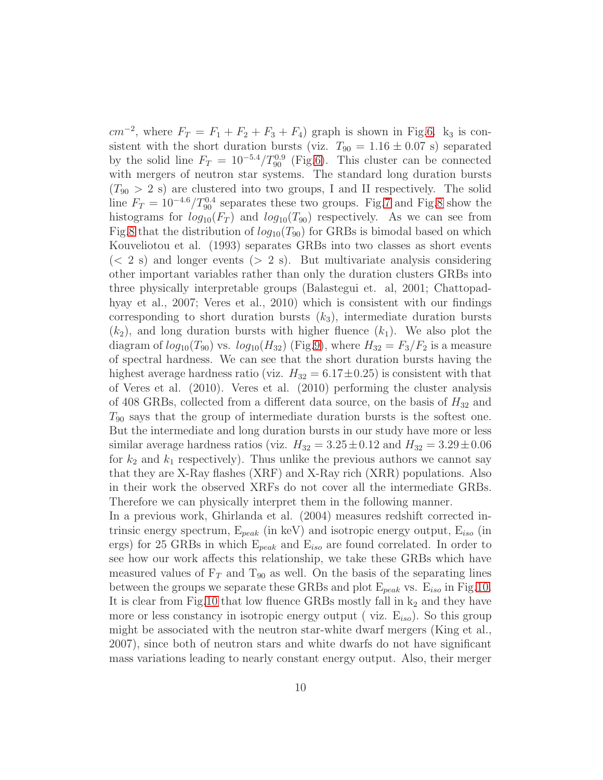$cm^{-2}$ , where  $F_T = F_1 + F_2 + F_3 + F_4$ ) graph is shown in Fig[.6.](#page-22-0) k<sub>3</sub> is consistent with the short duration bursts (viz.  $T_{90} = 1.16 \pm 0.07$  s) separated by the solid line  $F_T = 10^{-5.4} / T_{90}^{0.9}$  (Fig[.6\)](#page-22-0). This cluster can be connected with mergers of neutron star systems. The standard long duration bursts  $(T_{90} > 2 \text{ s})$  are clustered into two groups, I and II respectively. The solid line  $F_T = 10^{-4.6} / T_{90}^{0.4}$  separates these two groups. Fig[.7](#page-23-0) and Fig[.8](#page-24-0) show the histograms for  $log_{10}(F_T)$  and  $log_{10}(T_{90})$  respectively. As we can see from Fig[.8](#page-24-0) that the distribution of  $log_{10}(T_{90})$  for GRBs is bimodal based on which Kouveliotou et al. (1993) separates GRBs into two classes as short events  $(< 2 \text{ s})$  and longer events  $(> 2 \text{ s})$ . But multivariate analysis considering other important variables rather than only the duration clusters GRBs into three physically interpretable groups (Balastegui et. al, 2001; Chattopadhyay et al., 2007; Veres et al., 2010) which is consistent with our findings corresponding to short duration bursts  $(k_3)$ , intermediate duration bursts  $(k_2)$ , and long duration bursts with higher fluence  $(k_1)$ . We also plot the diagram of  $log_{10}(T_{90})$  vs.  $log_{10}(H_{32})$  (Fig[.9\)](#page-25-0), where  $H_{32} = F_3/F_2$  is a measure of spectral hardness. We can see that the short duration bursts having the highest average hardness ratio (viz.  $H_{32} = 6.17 \pm 0.25$ ) is consistent with that of Veres et al. (2010). Veres et al. (2010) performing the cluster analysis of 408 GRBs, collected from a different data source, on the basis of  $H_{32}$  and  $T_{90}$  says that the group of intermediate duration bursts is the softest one. But the intermediate and long duration bursts in our study have more or less similar average hardness ratios (viz.  $H_{32} = 3.25 \pm 0.12$  and  $H_{32} = 3.29 \pm 0.06$ for  $k_2$  and  $k_1$  respectively). Thus unlike the previous authors we cannot say that they are X-Ray flashes (XRF) and X-Ray rich (XRR) populations. Also in their work the observed XRFs do not cover all the intermediate GRBs. Therefore we can physically interpret them in the following manner.

In a previous work, Ghirlanda et al. (2004) measures redshift corrected intrinsic energy spectrum,  $E_{peak}$  (in keV) and isotropic energy output,  $E_{iso}$  (in ergs) for 25 GRBs in which  $E_{peak}$  and  $E_{iso}$  are found correlated. In order to see how our work affects this relationship, we take these GRBs which have measured values of  $F_T$  and  $T_{90}$  as well. On the basis of the separating lines between the groups we separate these GRBs and plot  $E_{peak}$  vs.  $E_{iso}$  in Fig[.10.](#page-26-0) It is clear from Fig[.10](#page-26-0) that low fluence GRBs mostly fall in  $k_2$  and they have more or less constancy in isotropic energy output (viz.  $E_{iso}$ ). So this group might be associated with the neutron star-white dwarf mergers (King et al., 2007), since both of neutron stars and white dwarfs do not have significant mass variations leading to nearly constant energy output. Also, their merger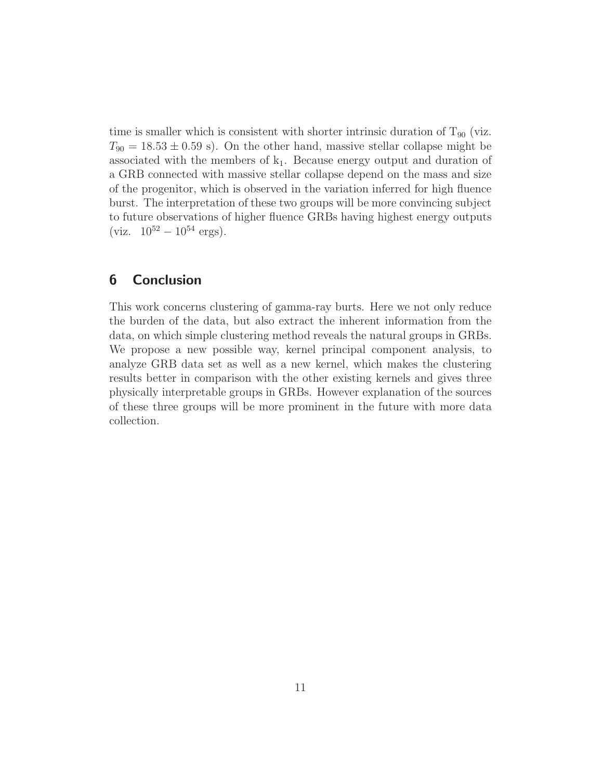time is smaller which is consistent with shorter intrinsic duration of  $T_{90}$  (viz.  $T_{90} = 18.53 \pm 0.59$  s). On the other hand, massive stellar collapse might be associated with the members of  $k_1$ . Because energy output and duration of a GRB connected with massive stellar collapse depend on the mass and size of the progenitor, which is observed in the variation inferred for high fluence burst. The interpretation of these two groups will be more convincing subject to future observations of higher fluence GRBs having highest energy outputs (viz.  $10^{52} - 10^{54}$  ergs).

# 6 Conclusion

This work concerns clustering of gamma-ray burts. Here we not only reduce the burden of the data, but also extract the inherent information from the data, on which simple clustering method reveals the natural groups in GRBs. We propose a new possible way, kernel principal component analysis, to analyze GRB data set as well as a new kernel, which makes the clustering results better in comparison with the other existing kernels and gives three physically interpretable groups in GRBs. However explanation of the sources of these three groups will be more prominent in the future with more data collection.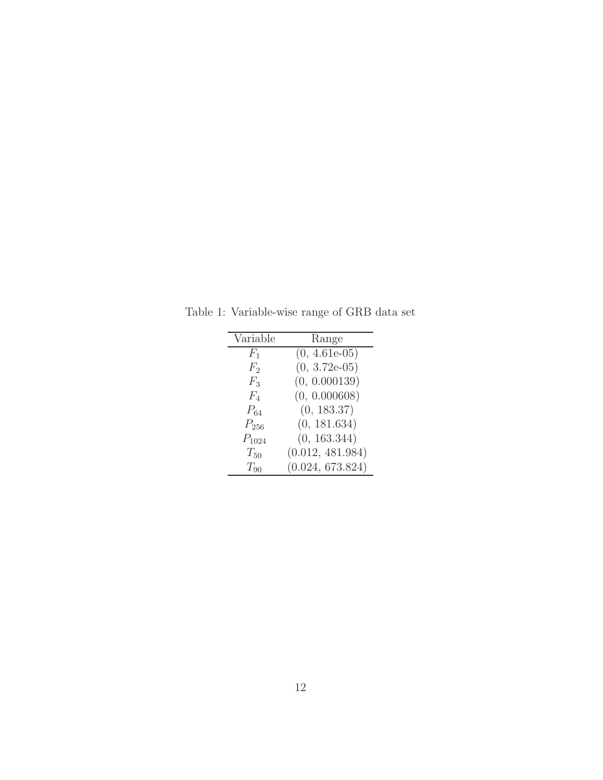<span id="page-11-0"></span>

| Variable   | Range            |
|------------|------------------|
| $F_{1}$    | $(0, 4.61e-05)$  |
| $F_2$      | $(0, 3.72e-05)$  |
| $F_3$      | (0, 0.000139)    |
| $F_{4}$    | (0, 0.000608)    |
| $P_{64}$   | (0, 183.37)      |
| $P_{256}$  | (0, 181.634)     |
| $P_{1024}$ | (0, 163.344)     |
| $T_{50}$   | (0.012, 481.984) |
| $T_{90}$   | (0.024, 673.824) |
|            |                  |

Table 1: Variable-wise range of GRB data set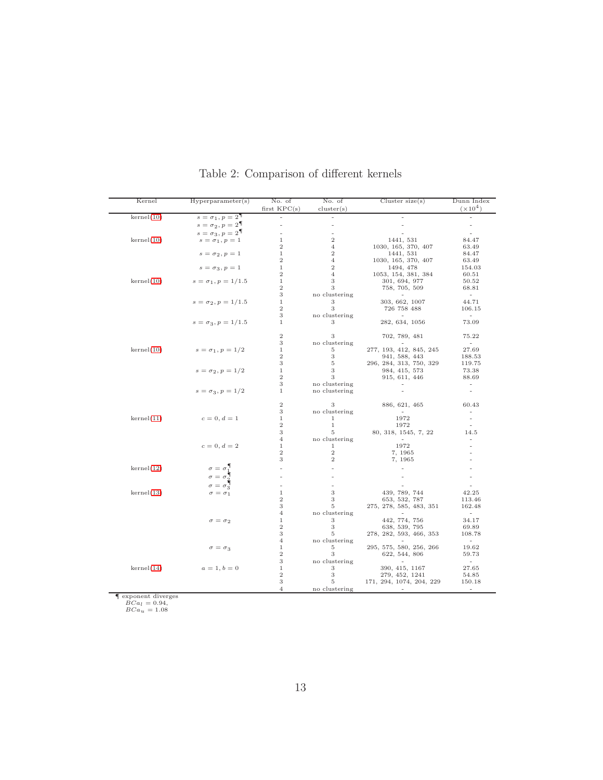| Kernel                | Hyperparameter(s)                | No. of                  | No. of           | Cluster size(s)                          | Dunn Index               |  |
|-----------------------|----------------------------------|-------------------------|------------------|------------------------------------------|--------------------------|--|
|                       |                                  | first $KPC(s)$          | cluster(s)       |                                          | $(\times 10^{4})$        |  |
| kernel(10)            | $s=\sigma_1, p=2^{\P}$           |                         | L,               |                                          | ÷.                       |  |
|                       | $s=\sigma_2, p=2^{\P}$           |                         | L,               |                                          | $\equiv$                 |  |
|                       | $s=\sigma_3, p=2^\P$             |                         |                  |                                          | $\equiv$                 |  |
| $\text{kernel}(10)$   | $s=\sigma_1, p=1$                | 1                       | $\boldsymbol{2}$ | 1441, 531                                | 84.47                    |  |
|                       |                                  | $\overline{2}$          | $\overline{4}$   | 1030, 165, 370, 407                      | 63.49                    |  |
|                       | $s=\sigma_2, p=1$                | $\mathbf 1$             | $\boldsymbol{2}$ | 1441, 531                                | 84.47                    |  |
|                       |                                  | $\overline{2}$          | $\overline{4}$   | 1030, 165, 370, 407                      | 63.49                    |  |
|                       | $s=\sigma_3, p=1$                | 1                       | $\overline{2}$   | 1494, 478                                | 154.03                   |  |
|                       |                                  | $\overline{2}$          | $\overline{4}$   | 1053, 154, 381, 384                      | 60.51                    |  |
| $\text{kernel}(10)$   | $s = \sigma_1, p = 1/1.5$        | 1                       | 3                | 301, 694, 977                            | 50.52                    |  |
|                       |                                  | $\overline{2}$          | 3                | 758, 705, 509                            | 68.81                    |  |
|                       |                                  | 3                       | no clustering    |                                          | $\sim$                   |  |
|                       | $s = \sigma_2, p = 1/1.5$        | 1                       | З                | 303, 662, 1007                           | 44.71                    |  |
|                       |                                  | $\overline{2}$          | 3                | 726 758 488                              | 106.15                   |  |
|                       |                                  | 3                       | no clustering    |                                          | $\sim$                   |  |
|                       | $s = \sigma_3, p = 1/1.5$        | $\mathbf{1}$            | 3                | 282, 634, 1056                           | 73.09                    |  |
|                       |                                  | $\boldsymbol{2}$        | 3                | 702, 789, 481                            | 75.22                    |  |
|                       |                                  | 3                       | no clustering    |                                          | $\sim$                   |  |
| $\mathrm{kernel}(10)$ | $s = \sigma_1, p = 1/2$          | $\mathbf 1$             | 5                | 277, 193, 412, 845, 245                  | 27.69                    |  |
|                       |                                  | $\overline{2}$          | 3                | 941, 588, 443                            | 188.53                   |  |
|                       |                                  | 3                       | 5                | 296, 284, 313, 750, 329                  | 119.75                   |  |
|                       | $s = \sigma_2, p = 1/2$          | $\mathbf 1$             | 3                | 984, 415, 573                            | 73.38                    |  |
|                       |                                  | $\overline{2}$          | 3                | 915, 611, 446                            | 88.69                    |  |
|                       |                                  | 3                       | no clustering    |                                          | $\sim$                   |  |
|                       | $s = \sigma_3, p = 1/2$          | 1                       | no clustering    |                                          | $\omega$                 |  |
|                       |                                  | $\boldsymbol{2}$        | 3                | 886, 621, 465                            | 60.43                    |  |
|                       |                                  | 3                       | no clustering    |                                          | $\blacksquare$           |  |
| $\mathrm{kernel}(11)$ | $c = 0, d = 1$                   | $\mathbf 1$             | 1                | 1972                                     | $\bar{\phantom{a}}$      |  |
|                       |                                  | $\boldsymbol{2}$        | $\mathbf 1$      | 1972                                     | $\overline{\phantom{a}}$ |  |
|                       |                                  | 3                       | 5                | 80, 318, 1545, 7, 22                     | 14.5                     |  |
|                       |                                  | 4                       | no clustering    |                                          |                          |  |
|                       | $c = 0, d = 2$                   | $\mathbf 1$             | 1                | 1972                                     |                          |  |
|                       |                                  | $\overline{2}$          | $\boldsymbol{2}$ | 7, 1965                                  |                          |  |
|                       |                                  | 3                       | $\boldsymbol{2}$ | 7, 1965                                  |                          |  |
| kernel(12)            | $\sigma = \sigma_1^{\mathsf{T}}$ |                         |                  |                                          |                          |  |
|                       | $\sigma = \sigma$                |                         |                  |                                          |                          |  |
|                       |                                  |                         |                  |                                          |                          |  |
|                       | $\sigma = \sigma_3$              |                         |                  |                                          | $\sim$                   |  |
| kernel(13)            | $\sigma = \sigma_1$              | $\,1$<br>$\overline{2}$ | 3<br>3           | 439, 789, 744                            | 42.25<br>113.46          |  |
|                       |                                  | 3                       | 5                | 653, 532, 787<br>275, 278, 585, 483, 351 | 162.48                   |  |
|                       |                                  | 4                       | no clustering    |                                          | $\sim$                   |  |
|                       |                                  | $\mathbf 1$             | 3                | 442, 774, 756                            |                          |  |
|                       | $\sigma = \sigma_2$              | $\overline{2}$          | 3                | 638, 539, 795                            | 34.17<br>69.89           |  |
|                       |                                  | 3                       | 5                | 278, 282, 593, 466, 353                  | 108.78                   |  |
|                       |                                  | 4                       | no clustering    |                                          | $\sim$                   |  |
|                       | $\sigma = \sigma_3$              | $\mathbf{1}$            | 5                | 295, 575, 580, 256, 266                  | 19.62                    |  |
|                       |                                  | $\boldsymbol{2}$        | 3                | 622, 544, 806                            | 59.73                    |  |
|                       |                                  | 3                       | no clustering    |                                          | $\sim$                   |  |
| kernel(14)            | $a = 1, b = 0$                   | $\mathbf 1$             | 3                | 390, 415, 1167                           | 27.65                    |  |
|                       |                                  | $\boldsymbol{2}$        | 3                | 279, 452, 1241                           | 54.85                    |  |
|                       |                                  | 3                       | 5                | 171, 294, 1074, 204, 229                 | 150.18                   |  |
|                       |                                  | $\overline{4}$          | no clustering    |                                          |                          |  |
| exponent diverges     |                                  |                         |                  |                                          |                          |  |

<span id="page-12-0"></span>Table 2: Comparison of different kernels

q exponent diverges<br>  $BCa_l = 0.94,$ <br>  $BCa_u = 1.08$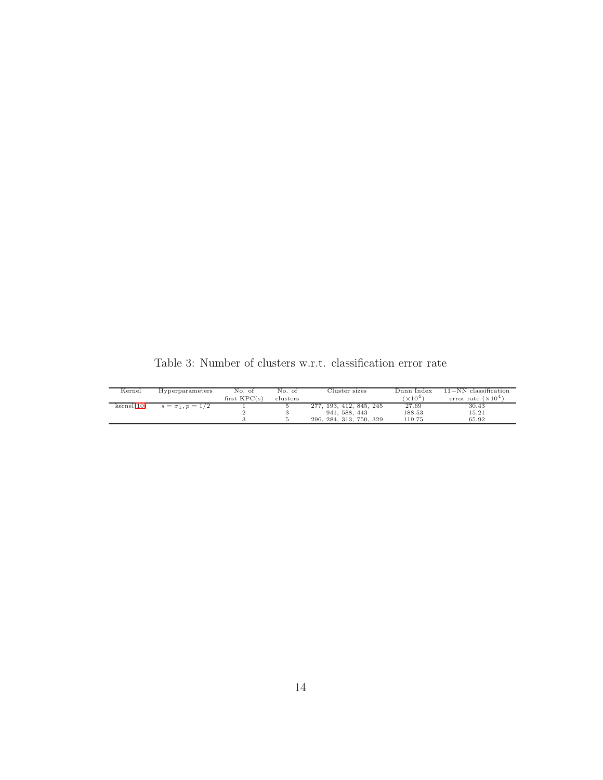| Kernel     | Hyperparameters         | No. of         | No. of   | Cluster sizes           | Dunn Index-   | $11-NN$ classification     |
|------------|-------------------------|----------------|----------|-------------------------|---------------|----------------------------|
|            |                         | first $KPC(s)$ | clusters |                         | $\times 10^4$ | error rate $(\times 10^4)$ |
| kernel(10) | $s = \sigma_1, p = 1/2$ |                |          | 277, 193, 412, 845, 245 | 27.69         | 30.43                      |
|            |                         |                |          | 941, 588, 443           | 188.53        | 15.21                      |
|            |                         |                |          | 296, 284, 313, 750, 329 | 119.75        | 65.92                      |

<span id="page-13-0"></span>Table 3: Number of clusters w.r.t. classification error rate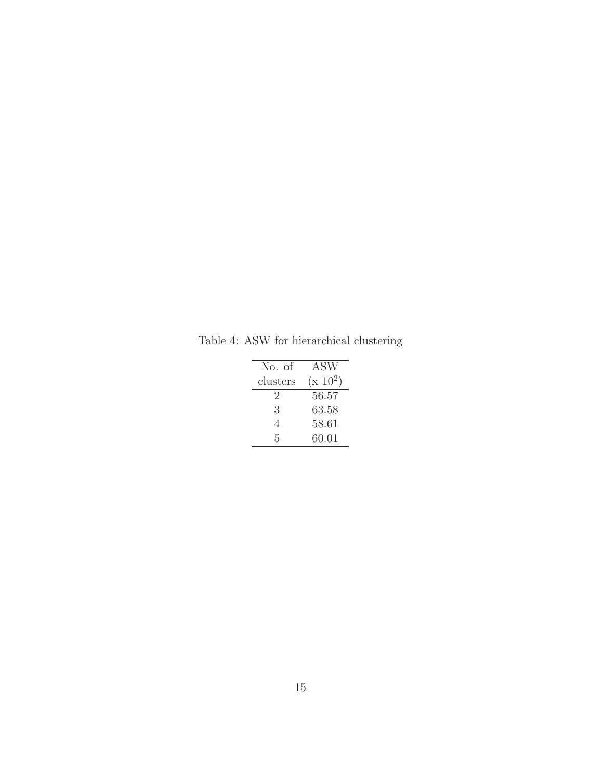Table 4: ASW for hierarchical clustering

<span id="page-14-0"></span>

| No. of   | ASW        |
|----------|------------|
| clusters | $(x 10^2)$ |
| $\cdot$  | 56.57      |
| 3        | 63.58      |
| 4        | 58.61      |
| 5        | 60.01      |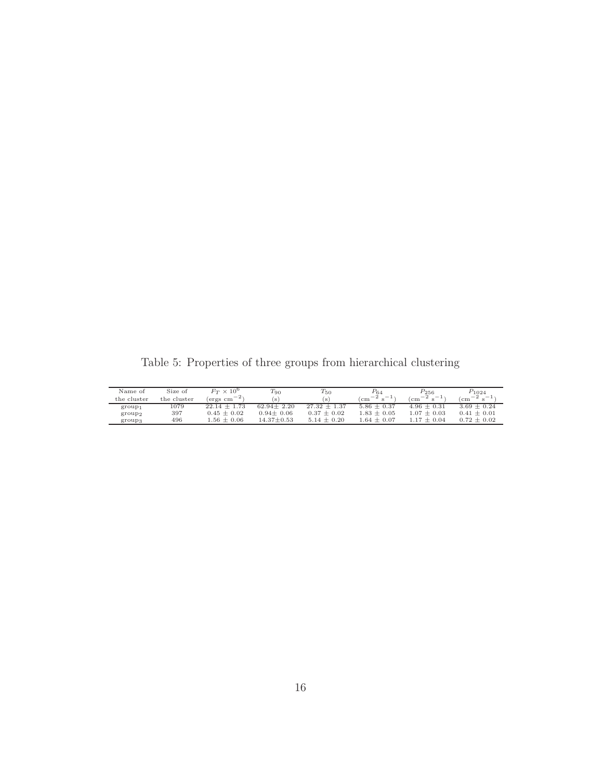| Name of            | Size of     | $F_T \times 10^6$     | $T_{90}$         | $T_{50}$         | $P_{64}$           | $P_{256}$                            | $P_{1024}$             |
|--------------------|-------------|-----------------------|------------------|------------------|--------------------|--------------------------------------|------------------------|
| the cluster        | the cluster | $-2 \cdot$<br>ergs cm | 's               | 'S)              | $-1$<br>$-z$<br>cm | $-1$<br>$^{-2}$ s<br>cm <sup>-</sup> | $-1$<br>$-$<br>cm<br>s |
| $group_1$          | 1079        | $22.14 \pm 1.73$      | $62.94 \pm 2.20$ | $27.32 \pm 1.37$ | $5.86 + 0.37$      | $4.96 \pm 0.31$                      | $3.69 + 0.24$          |
| group <sub>2</sub> | 397         | $0.45 \pm 0.02$       | $0.94 \pm 0.06$  | $0.37 \pm 0.02$  | $1.83 \pm 0.05$    | $1.07 \pm 0.03$                      | $0.41 \pm 0.01$        |
| $group_3$          | 496         | $1.56 \pm 0.06$       | $14.37 \pm 0.53$ | $5.14 + 0.20$    | $.64 \pm 0.07$     | $1.17 \pm 0.04$                      | $0.72 + 0.02$          |

<span id="page-15-0"></span>Table 5: Properties of three groups from hierarchical clustering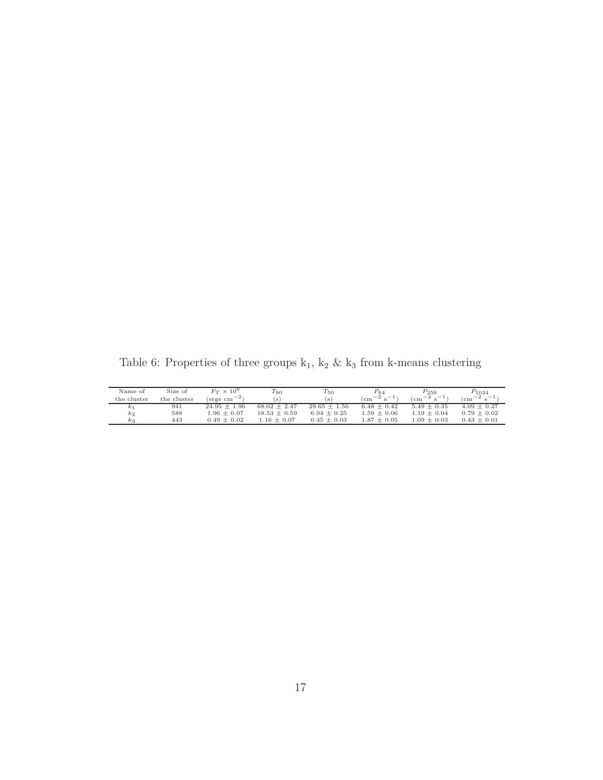| Name of     | Size of     | $F_T \times 10^6$ | $T_{90}$         | $T_{50}$         | $P_{64}$                               | $P_{256}$                              | $P_{1024}$          |
|-------------|-------------|-------------------|------------------|------------------|----------------------------------------|----------------------------------------|---------------------|
| the cluster | the cluster | $-z$<br>ergs cm   | s                | l s l            | $-z$<br>$\overline{\phantom{a}}$<br>cm | $-z$<br>$\overline{\phantom{0}}$<br>cm | $-1$<br>$-$<br>' cm |
| $\kappa_1$  | 941         | $24.95 \pm 1.96$  | $68.02 \pm 2.47$ | $29.65 \pm 1.56$ | $6.48 \pm 0.42$                        | $5.49 \pm 0.35$                        | $4.09 + 0.27$       |
| $k_2$       | 588         | $1.96 \pm 0.07$   | $18.53 \pm 0.59$ | $6.94 \pm 0.25$  | $1.59 \pm 0.06$                        | $1.19 + 0.04$                          | $0.79 + 0.02$       |
| $k_3$       | 443         | $0.49 \pm 0.02$   | $.16 \pm 0.07$   | $0.45 \pm 0.03$  | $1.87 \pm 0.05$                        | $1.09 \pm 0.03$                        | $0.43 \pm 0.01$     |

<span id="page-16-0"></span>Table 6: Properties of three groups  ${\bf k}_1,\,{\bf k}_2$  &  ${\bf k}_3$  from k-means clustering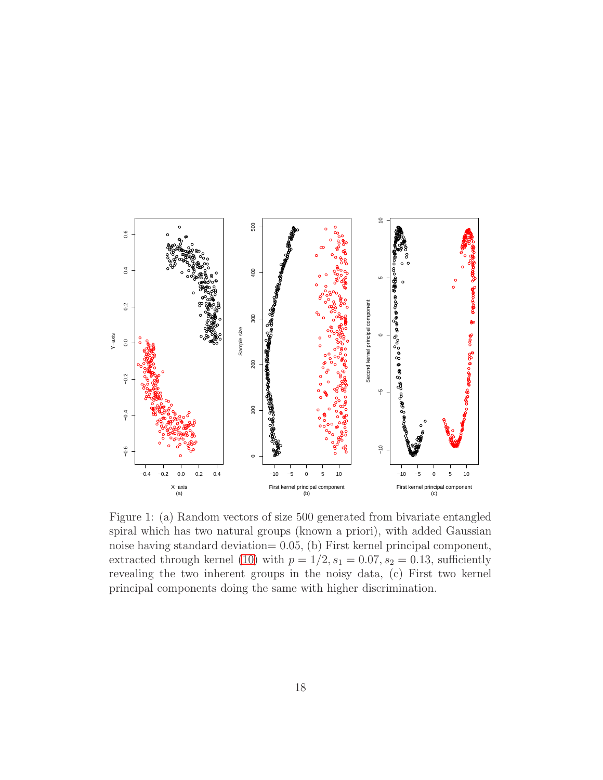

Figure 1: (a) Random vectors of size 500 generated from bivariate entangled spiral which has two natural groups (known a priori), with added Gaussian noise having standard deviation= 0.05, (b) First kernel principal component, extracted through kernel [\(10\)](#page-4-0) with  $p = 1/2, s_1 = 0.07, s_2 = 0.13$ , sufficiently revealing the two inherent groups in the noisy data, (c) First two kernel principal components doing the same with higher discrimination.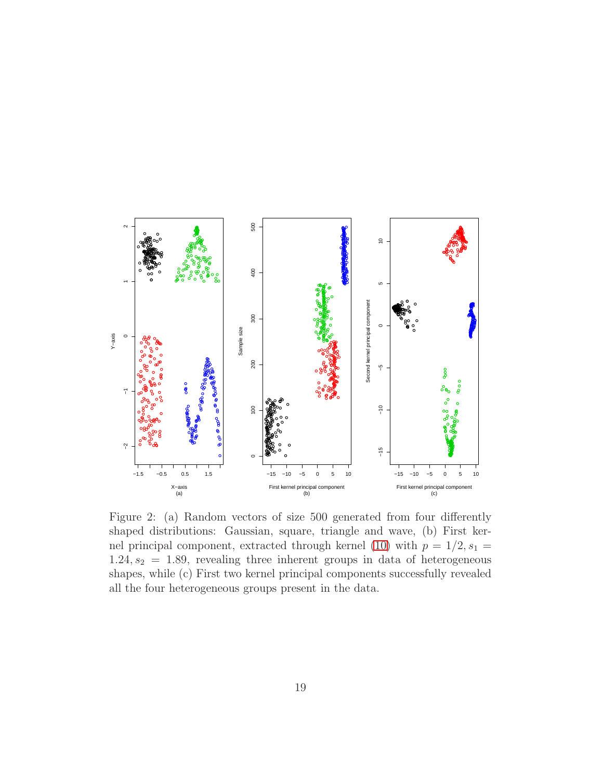

Figure 2: (a) Random vectors of size 500 generated from four differently shaped distributions: Gaussian, square, triangle and wave, (b) First ker-nel principal component, extracted through kernel [\(10\)](#page-4-0) with  $p = 1/2, s_1 =$  $1.24, s_2 = 1.89$ , revealing three inherent groups in data of heterogeneous shapes, while (c) First two kernel principal components successfully revealed all the four heterogeneous groups present in the data.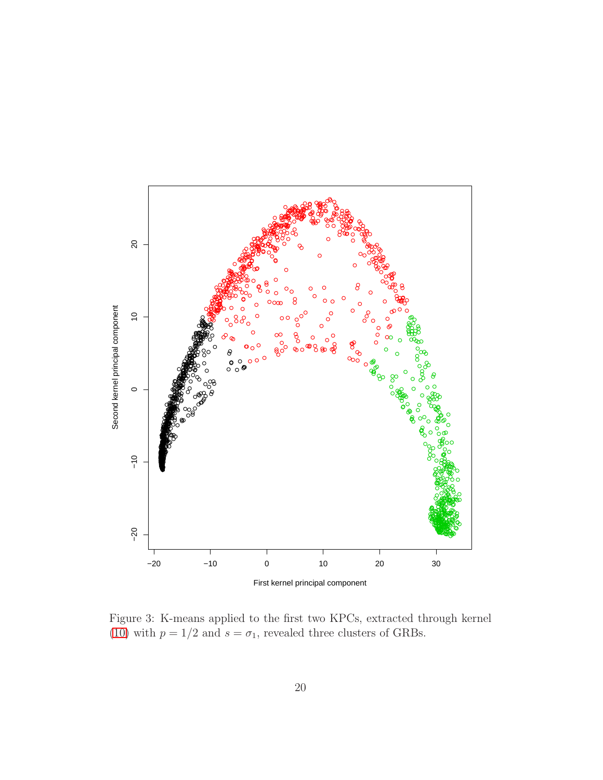

Figure 3: K-means applied to the first two KPCs, extracted through kernel [\(10\)](#page-4-0) with  $p = 1/2$  and  $s = \sigma_1$ , revealed three clusters of GRBs.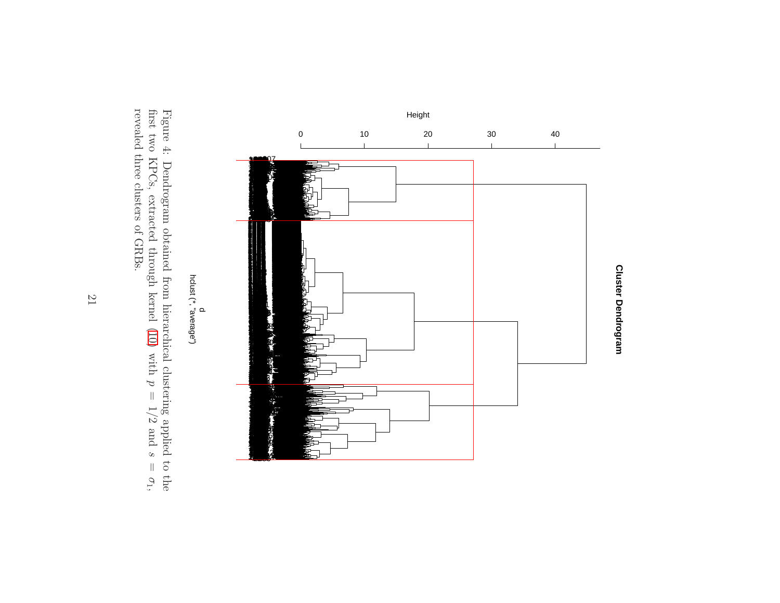

<span id="page-20-0"></span>hclust (\*, "average") d<br>hclust (\*, "average")

revealed three clusters of GRBs. Figure 4: Dendrogram obtained from hierarchical clustering applied to the revealed three clusters of GRBs. first two KPCs, extracted through kernel [\(10\)](#page-4-5) with Figure 4: Dendrogram obtained from hierarchical clustering applied  $\beta$ = 1/2 and  $\mathcal{S}$  $\parallel$  $\sigma_1,$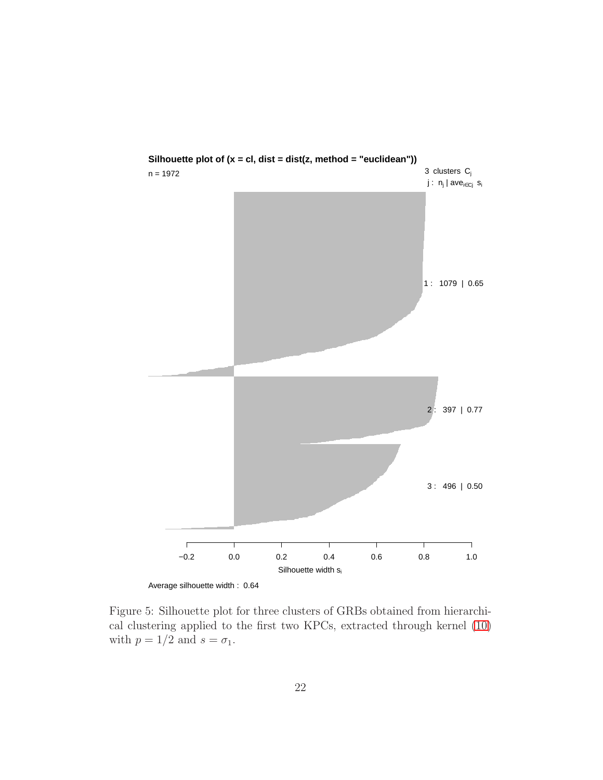

**Silhouette plot of (x = cl, dist = dist(z, method = "euclidean"))**

<span id="page-21-0"></span>Figure 5: Silhouette plot for three clusters of GRBs obtained from hierarchical clustering applied to the first two KPCs, extracted through kernel [\(10\)](#page-4-0) with  $p = 1/2$  and  $s = \sigma_1$ .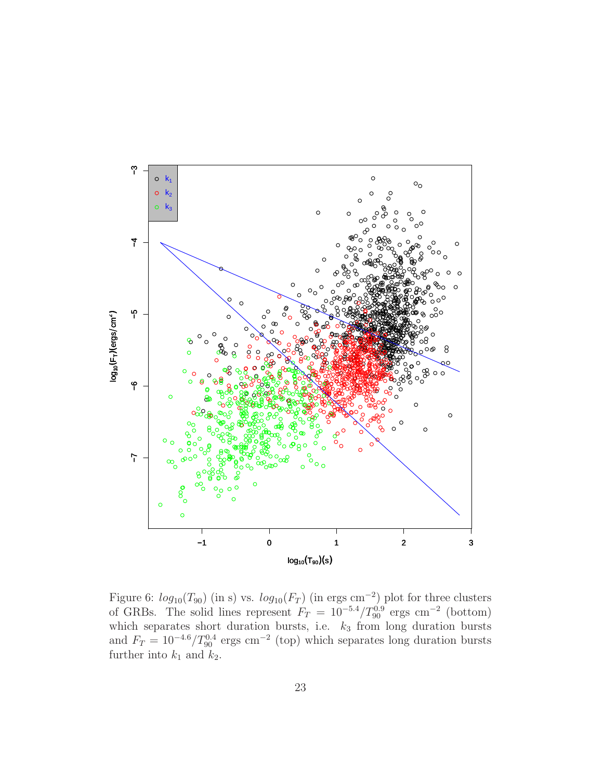

<span id="page-22-0"></span>Figure 6:  $log_{10}(T_{90})$  (in s) vs.  $log_{10}(F_T)$  (in ergs cm<sup>-2</sup>) plot for three clusters of GRBs. The solid lines represent  $F_T = 10^{-5.4} / T_{90}^{0.9}$  ergs cm<sup>-2</sup> (bottom) which separates short duration bursts, i.e.  $k_3$  from long duration bursts and  $F_T = 10^{-4.6} / T_{90}^{0.4}$  ergs cm<sup>-2</sup> (top) which separates long duration bursts further into  $k_1$  and  $k_2$ .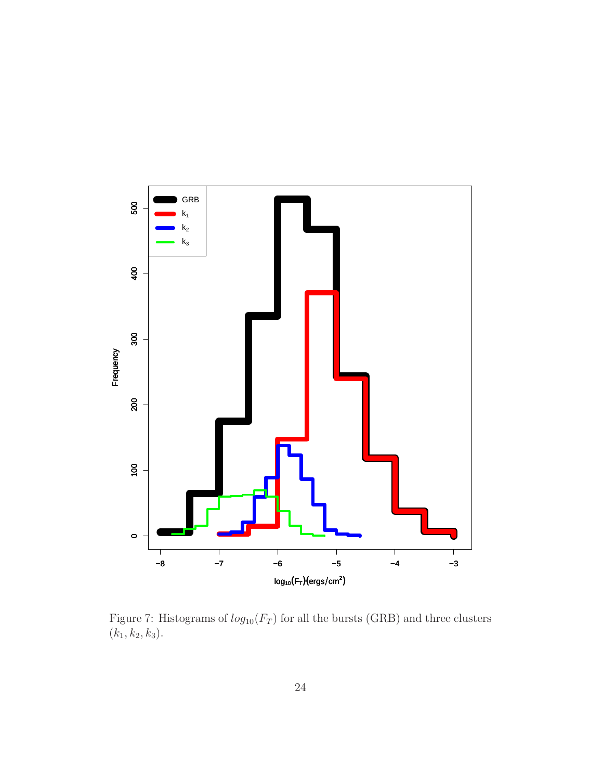

<span id="page-23-0"></span>Figure 7: Histograms of  $log_{10}(F_T)$  for all the bursts (GRB) and three clusters  $(k_1, k_2, k_3).$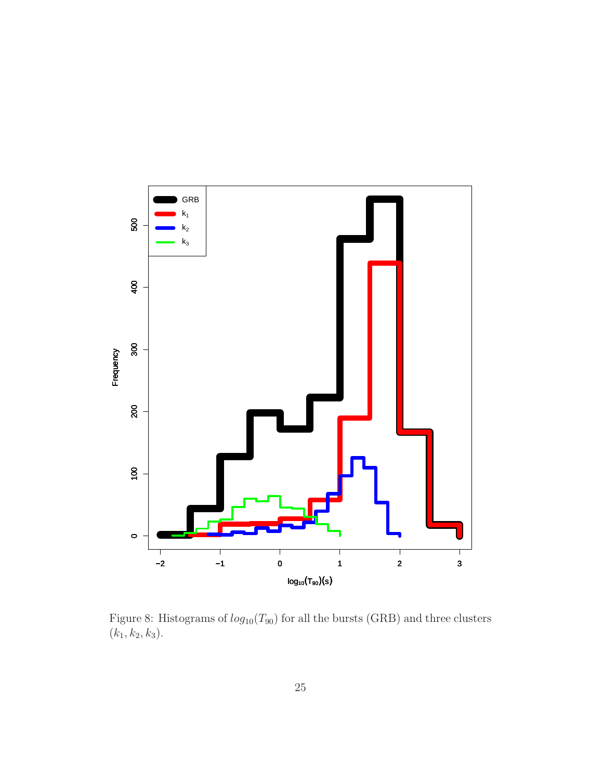

<span id="page-24-0"></span>Figure 8: Histograms of  $log_{10}(T_{90})$  for all the bursts (GRB) and three clusters  $(k_1, k_2, k_3).$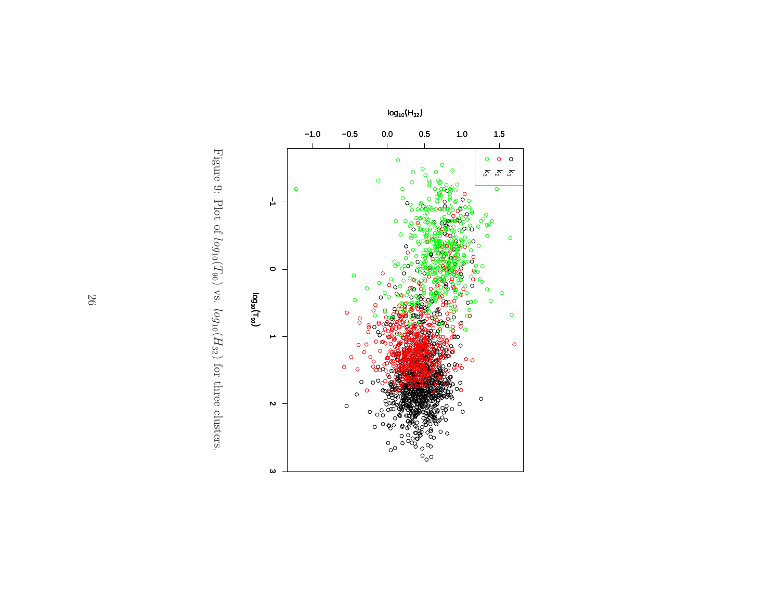

<span id="page-25-0"></span>Figure 9: Plot of log $10(T_{90}$ ) vs. log $H$ ) or  $\frac{32}{5}$ ) for three clusters.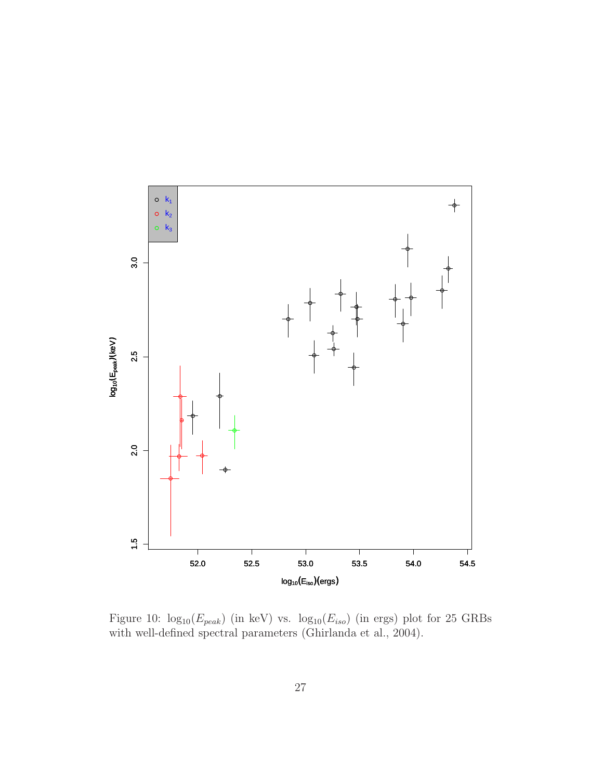

<span id="page-26-0"></span>Figure 10:  $log_{10}(E_{peak})$  (in keV) vs.  $log_{10}(E_{iso})$  (in ergs) plot for 25 GRBs with well-defined spectral parameters (Ghirlanda et al., 2004).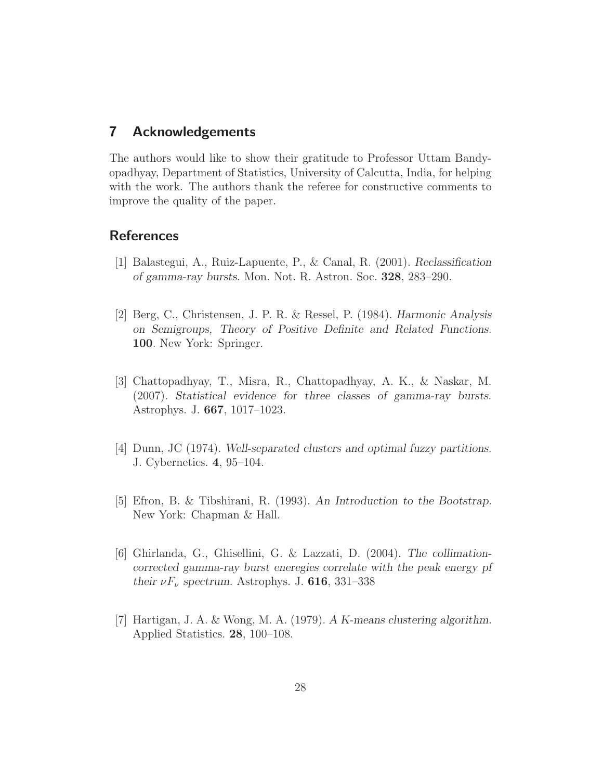# 7 Acknowledgements

The authors would like to show their gratitude to Professor Uttam Bandyopadhyay, Department of Statistics, University of Calcutta, India, for helping with the work. The authors thank the referee for constructive comments to improve the quality of the paper.

# **References**

- [1] Balastegui, A., Ruiz-Lapuente, P., & Canal, R. (2001). Reclassification of gamma-ray bursts. Mon. Not. R. Astron. Soc. 328, 283–290.
- [2] Berg, C., Christensen, J. P. R. & Ressel, P. (1984). Harmonic Analysis on Semigroups, Theory of Positive Definite and Related Functions. 100. New York: Springer.
- [3] Chattopadhyay, T., Misra, R., Chattopadhyay, A. K., & Naskar, M. (2007). Statistical evidence for three classes of gamma-ray bursts. Astrophys. J. 667, 1017–1023.
- [4] Dunn, JC (1974). Well-separated clusters and optimal fuzzy partitions. J. Cybernetics. 4, 95–104.
- [5] Efron, B. & Tibshirani, R. (1993). An Introduction to the Bootstrap. New York: Chapman & Hall.
- [6] Ghirlanda, G., Ghisellini, G. & Lazzati, D. (2004). The collimationcorrected gamma-ray burst eneregies correlate with the peak energy pf their  $\nu F_\nu$  spectrum. Astrophys. J. 616, 331–338
- [7] Hartigan, J. A. & Wong, M. A. (1979). A K-means clustering algorithm. Applied Statistics. 28, 100–108.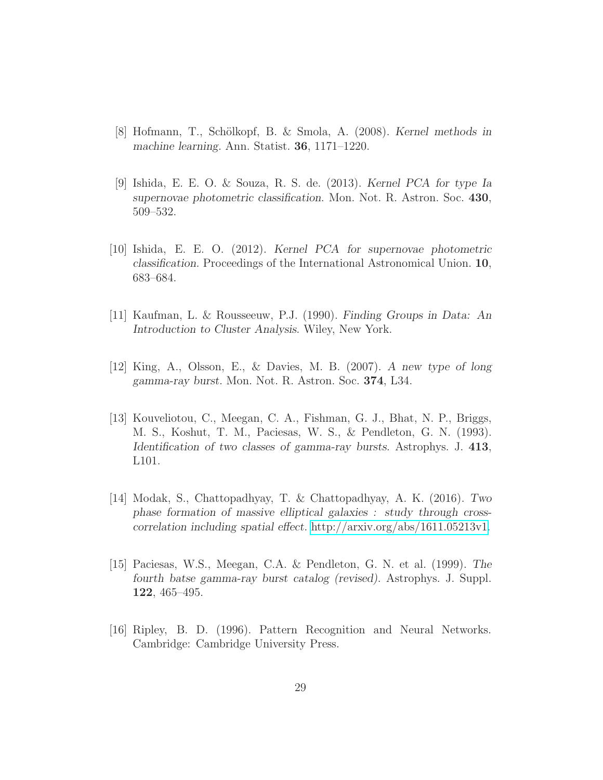- [8] Hofmann, T., Schölkopf, B. & Smola, A. (2008). Kernel methods in machine learning. Ann. Statist. 36, 1171–1220.
- [9] Ishida, E. E. O. & Souza, R. S. de. (2013). Kernel PCA for type Ia supernovae photometric classification. Mon. Not. R. Astron. Soc. 430, 509–532.
- [10] Ishida, E. E. O. (2012). Kernel PCA for supernovae photometric classification. Proceedings of the International Astronomical Union. 10, 683–684.
- [11] Kaufman, L. & Rousseeuw, P.J. (1990). Finding Groups in Data: An Introduction to Cluster Analysis. Wiley, New York.
- [12] King, A., Olsson, E., & Davies, M. B. (2007). A new type of long gamma-ray burst. Mon. Not. R. Astron. Soc. 374, L34.
- [13] Kouveliotou, C., Meegan, C. A., Fishman, G. J., Bhat, N. P., Briggs, M. S., Koshut, T. M., Paciesas, W. S., & Pendleton, G. N. (1993). Identification of two classes of gamma-ray bursts. Astrophys. J. 413, L101.
- [14] Modak, S., Chattopadhyay, T. & Chattopadhyay, A. K. (2016). Two phase formation of massive elliptical galaxies : study through crosscorrelation including spatial effect. [http://arxiv.org/abs/1611.05213v1.](http://arxiv.org/abs/1611.05213v1)
- [15] Paciesas, W.S., Meegan, C.A. & Pendleton, G. N. et al. (1999). The fourth batse gamma-ray burst catalog (revised). Astrophys. J. Suppl. 122, 465–495.
- [16] Ripley, B. D. (1996). Pattern Recognition and Neural Networks. Cambridge: Cambridge University Press.